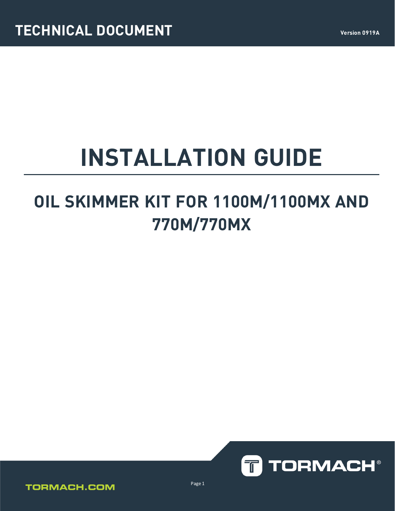# **INSTALLATION GUIDE**

# **OIL SKIMMER KIT FOR 1100M/1100MX AND 770M/770MX**



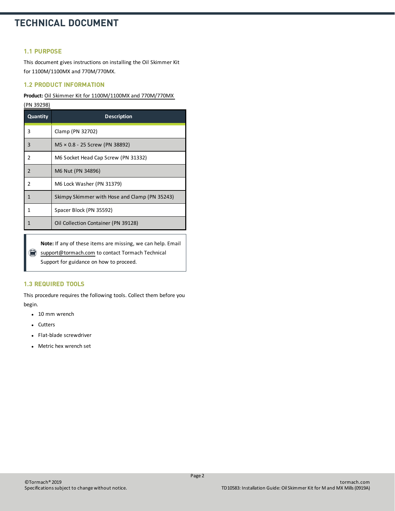## **TECHNICAL DOCUMENT**

#### **1.1 PURPOSE**

This document gives instructions on installing the Oil Skimmer Kit for 1100M/1100MX and 770M/770MX.

#### **1.2 PRODUCT INFORMATION**

#### **Product:** Oil Skimmer Kit for [1100M/1100MX](https://www.tormach.com/part/39298) and 770M/770MX

| <b>Quantity</b> | <b>Description</b>                            |
|-----------------|-----------------------------------------------|
| 3               | Clamp (PN 32702)                              |
| $\overline{3}$  | $MS \times 0.8 - 25$ Screw (PN 38892)         |
| $\overline{2}$  | M6 Socket Head Cap Screw (PN 31332)           |
| $\overline{2}$  | M6 Nut (PN 34896)                             |
| $\overline{2}$  | M6 Lock Washer (PN 31379)                     |
| $\mathbf{1}$    | Skimpy Skimmer with Hose and Clamp (PN 35243) |
|                 | Spacer Block (PN 35592)                       |
|                 | Oil Collection Container (PN 39128)           |

**Note:** If any of these items are missing, we can help. Email [support@tormach.com](mailto:support@tormach.com) to contact Tormach Technical Support for guidance on how to proceed.

#### **1.3 REQUIRED TOOLS**

This procedure requires the following tools. Collect them before you begin.

- $\cdot$  10 mm wrench
- Cutters
- Flat-blade screwdriver
- Metric hex wrench set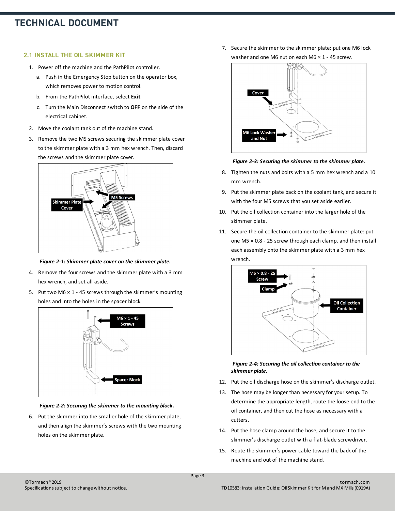# **TECHNICAL DOCUMENT**

#### **2.1 INSTALL THE OIL SKIMMER KIT**

- 1. Power off the machine and the PathPilot controller.
	- a. Push in the Emergency Stop button on the operator box, which removes power to motion control.
	- b. From the PathPilot interface, select **Exit**.
	- c. Turn the Main Disconnect switch to **OFF** on the side of the electrical cabinet.
- 2. Move the coolant tank out of the machine stand.
- 3. Remove the two M5 screws securing the skimmer plate cover to the skimmer plate with a 3 mm hex wrench. Then, discard the screws and the skimmer plate cover.



*Figure 2-1: Skimmer plate cover on the skimmer plate.*

- 4. Remove the four screws and the skimmer plate with a 3 mm hex wrench, and set all aside.
- 5. Put two M6  $\times$  1 45 screws through the skimmer's mounting holes and into the holes in the spacer block.



*Figure 2-2: Securing the skimmer to the mounting block.*

6. Put the skimmer into the smaller hole of the skimmer plate, and then align the skimmer's screws with the two mounting holes on the skimmer plate.

7. Secure the skimmer to the skimmer plate: put one M6 lock washer and one M6 nut on each M6  $\times$  1 - 45 screw.





- 8. Tighten the nuts and bolts with a 5 mm hex wrench and a 10 mm wrench.
- 9. Put the skimmer plate back on the coolant tank, and secure it with the four M5 screws that you set aside earlier.
- 10. Put the oil collection container into the larger hole of the skimmer plate.
- 11. Secure the oil collection container to the skimmer plate: put one M5 × 0.8 - 25 screw through each clamp, and then install each assembly onto the skimmer plate with a 3 mm hex wrench.



#### *Figure 2-4: Securing the oil collection container to the skimmer plate.*

- 12. Put the oil discharge hose on the skimmer's discharge outlet.
- 13. The hose may be longer than necessary for your setup. To determine the appropriate length, route the loose end to the oil container, and then cut the hose as necessary with a cutters.
- 14. Put the hose clamp around the hose, and secure it to the skimmer's discharge outlet with a flat-blade screwdriver.
- 15. Route the skimmer's power cable toward the back of the machine and out of the machine stand.